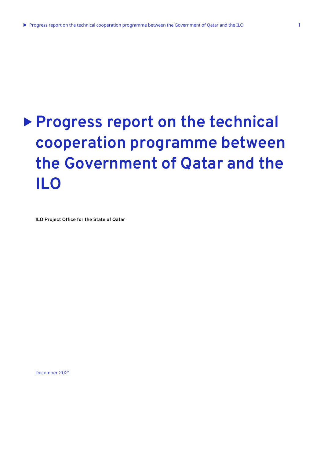# **Progress report on the technical cooperation programme between the Government of Qatar and the ILO**

**ILO Project Office for the State of Qatar** 

December 2021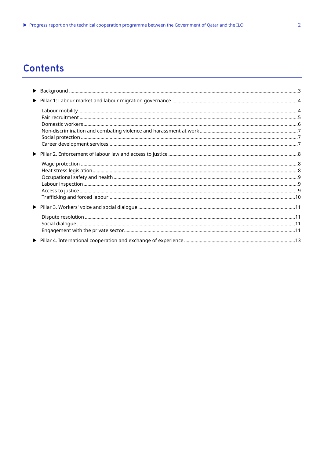# **Contents**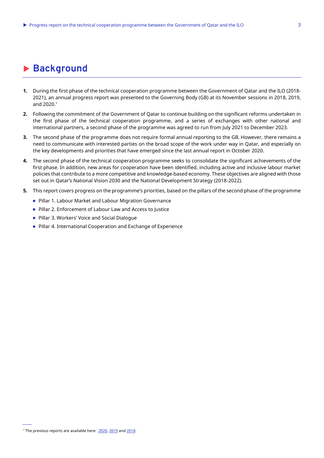# <span id="page-2-0"></span>**Background**

- **1.** During the first phase of the technical cooperation programme between the Government of Qatar and the ILO (2018- 2021), an annual progress report was presented to the Governing Body (GB) at its November sessions in 2018, 2019, and 2020. 1
- **2.** Following the commitment of the Government of Qatar to continue building on the significant reforms undertaken in the first phase of the technical cooperation programme, and a series of exchanges with other national and international partners, a second phase of the programme was agreed to run from July 2021 to December 2023.
- **3.** The second phase of the programme does not require formal annual reporting to the GB. However, there remains a need to communicate with interested parties on the broad scope of the work under way in Qatar, and especially on the key developments and priorities that have emerged since the last annual report in October 2020.
- **4.** The second phase of the technical cooperation programme seeks to consolidate the significant achievements of the first phase. In addition, new areas for cooperation have been identified, including active and inclusive labour market policies that contribute to a more competitive and knowledge-based economy. These objectives are aligned with those set out in Qatar's National Vision 2030 and the National Development Strategy (2018-2022).
- **5.** This report covers progress on the programme's priorities, based on the pillars of the second phase of the programme
	- Pillar 1. Labour Market and Labour Migration Governance
	- Pillar 2. Enforcement of Labour Law and Access to Justice
	- Pillar 3. Workers' Voice and Social Dialogue
	- Pillar 4. International Cooperation and Exchange of Experience

<sup>&</sup>lt;sup>1</sup> The previous reports are available here: [2020,](https://www.ilo.org/gb/GBSessions/GB340/ins/WCMS_757599/lang--en/index.htm) [2019](https://www.ilo.org/gb/GBSessions/GB337/ins/WCMS_723203/lang--en/index.htm) and [2018.](https://www.ilo.org/gb/GBSessions/GB334/ins/WCMS_647832/lang--en/index.htm)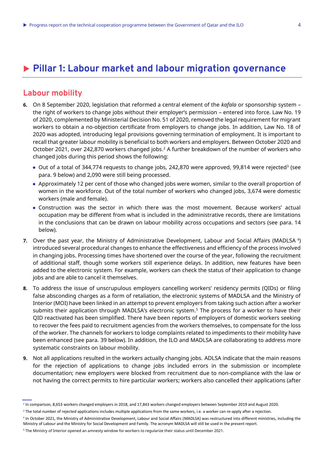# <span id="page-3-0"></span>**Pillar 1: Labour market and labour migration governance**

## <span id="page-3-1"></span>**Labour mobility**

- **6.** On 8 September 2020, legislation that reformed a central element of the *kafala* or sponsorship system the right of workers to change jobs without their employer's permission – entered into force. Law No. 19 of 2020, complemented by Ministerial Decision No. 51 of 2020, removed the legal requirement for migrant workers to obtain a no-objection certificate from employers to change jobs. In addition, Law No. 18 of 2020 was adopted, introducing legal provisions governing termination of employment. It is important to recall that greater labour mobility is beneficial to both workers and employers. Between October 2020 and October 2021, over 242,870 workers changed jobs. <sup>2</sup> A further breakdown of the number of workers who changed jobs during this period shows the following:
	- Out of a total of 344,774 requests to change jobs, 242,870 were approved, 99,814 were rejected<sup>3</sup> (see para. 9 below) and 2,090 were still being processed.
	- Approximately 12 per cent of those who changed jobs were women, similar to the overall proportion of women in the workforce. Out of the total number of workers who changed jobs, 3,674 were domestic workers (male and female).
	- Construction was the sector in which there was the most movement. Because workers' actual occupation may be different from what is included in the administrative records, there are limitations in the conclusions that can be drawn on labour mobility across occupations and sectors (see para. 14 below).
- **7.** Over the past year, the Ministry of Administrative Development, Labour and Social Affairs (MADLSA<sup>4</sup>) introduced several procedural changes to enhance the effectiveness and efficiency of the process involved in changing jobs. Processing times have shortened over the course of the year, following the recruitment of additional staff, though some workers still experience delays. In addition, new features have been added to the electronic system. For example, workers can [check the status of their application](https://ecai.adlsa.gov.qa/) to change jobs and are able to cancel it themselves.
- **8.** To address the issue of unscrupulous employers cancelling workers' residency permits (QIDs) or filing false absconding charges as a form of retaliation, the electronic systems of MADLSA and the Ministry of Interior (MOI) have been linked in an attempt to prevent employers from taking such action after a worker submits their application through MADLSA's electronic system. <sup>5</sup> The process for a worker to have their QID reactivated has been simplified. There have been reports of employers of domestic workers seeking to recover the fees paid to recruitment agencies from the workers themselves, to compensate for the loss of the worker. The channels for workers to lodge complaints related to impediments to their mobility have been enhanced (see para. 39 below). In addition, the ILO and MADLSA are collaborating to address more systematic constraints on labour mobility.
- **9.** Not all applications resulted in the workers actually changing jobs. ADLSA indicate that the main reasons for the rejection of applications to change jobs included errors in the submission or incomplete documentation; new employers were blocked from recruitment due to non-compliance with the law or not having the correct permits to hire particular workers; workers also cancelled their applications (after

<sup>2</sup> In comparison, 8,653 workers changed employers in 2018, and 17,843 workers changed employers between September 2019 and August 2020.

<sup>&</sup>lt;sup>3</sup> The total number of rejected applications includes multiple applications from the same workers, i.e. a worker can re-apply after a rejection.

<sup>4</sup> In October 2021, the Ministry of Administrative Development, Labour and Social Affairs (MADLSA) was restructured into different ministries, including the Ministry of Labour and the Ministry for Social Development and Family. The acronym MADLSA will still be used in the present report.

<sup>5</sup> The Ministry of Interior opened an amnesty window for workers to regularize their status until December 2021.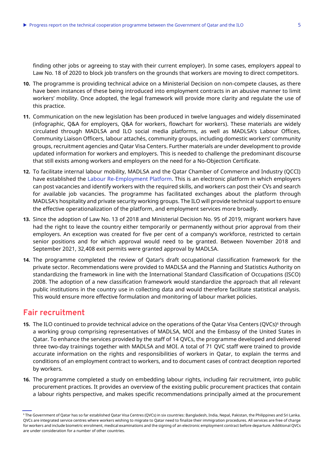finding other jobs or agreeing to stay with their current employer). In some cases, employers appeal to Law No. 18 of 2020 to block job transfers on the grounds that workers are moving to direct competitors.

- **10.** The programme is providing technical advice on a Ministerial Decision on non-compete clauses, as there have been instances of these being introduced into employment contracts in an abusive manner to limit workers' mobility. Once adopted, the legal framework will provide more clarity and regulate the use of this practice.
- **11.** Communication on the new legislation has been produced in twelve languages and widely disseminated [\(infographic,](https://www.ilo.org/beirut/projects/qatar-office/WCMS_754402/lang--en/index.htm) [Q&A for employers,](https://www.ilo.org/beirut/projects/qatar-office/WCMS_754450/lang--en/index.htm) [Q&A for workers,](https://www.ilo.org/beirut/projects/qatar-office/WCMS_754449/lang--en/index.htm) [flowchart for workers\)](https://www.ilo.org/beirut/projects/qatar-office/WCMS_754403/lang--en/index.htm). These materials are widely circulated through MADLSA and ILO social media platforms, as well as MADLSA's Labour Offices, Community Liaison Officers, labour attachés, community groups, including domestic workers' community groups, recruitment agencies and Qatar Visa Centers. Further materials are under development to provide updated information for workers and employers. This is needed to challenge the predominant discourse that still exists among workers and employers on the need for a No-Objection Certificate.
- **12.** To facilitate internal labour mobility, MADLSA and the Qatar Chamber of Commerce and Industry (QCCI) have established the [Labour Re-Employment Platform.](https://jobs.qatarchamber.com/) This is an electronic platform in which employers can post vacancies and identify workers with the required skills, and workers can post their CVs and search for available job vacancies. The programme has facilitated exchanges about the platform through MADLSA's hospitality and private security working groups. The ILO will provide technical support to ensure the effective operationalization of the platform, and employment services more broadly.
- **13.** Since the adoption of Law No. 13 of 2018 and Ministerial Decision No. 95 of 2019, migrant workers have had the right to leave the country either temporarily or permanently without prior approval from their employers. An exception was created for five per cent of a company's workforce, restricted to certain senior positions and for which approval would need to be granted. Between November 2018 and September 2021, 32,408 exit permits were granted approval by MADLSA.
- **14.** The programme completed the review of Qatar's draft occupational classification framework for the private sector. Recommendations were provided to MADLSA and the Planning and Statistics Authority on standardizing the framework in line with the International Standard Classification of Occupations (ISCO) 2008. The adoption of a new classification framework would standardize the approach that all relevant public institutions in the country use in collecting data and would therefore facilitate statistical analysis. This would ensure more effective formulation and monitoring of labour market policies.

## <span id="page-4-0"></span>**Fair recruitment**

- **15.** The ILO continued to provide technical advice on the operations of the Qatar Visa Centers (QVCs)<sup>6</sup> through a working group comprising representatives of MADLSA, MOI and the Embassy of the United States in Qatar. To enhance the services provided by the staff of 14 QVCs, the programme developed and delivered three two-day trainings together with MADLSA and MOI. A total of 71 QVC staff were trained to provide accurate information on the rights and responsibilities of workers in Qatar, to explain the terms and conditions of an employment contract to workers, and to document cases of contract deception reported by workers.
- **16.** The programme completed a study on embedding labour rights, including fair recruitment, into public procurement practices. It provides an overview of the existing public procurement practices that contain a labour rights perspective, and makes specific recommendations principally aimed at the procurement

<sup>6</sup> The Government of Qatar has so far established Qatar Visa Centres (QVCs) in six countries: Bangladesh, India, Nepal, Pakistan, the Philippines and Sri Lanka. QVCs are integrated service centres where workers wishing to migrate to Qatar need to finalize their immigration procedures. All services are free of charge for workers and include biometric enrolment, medical examinations and the signing of an electronic employment contract before departure. Additional QVCs are under consideration for a number of other countries.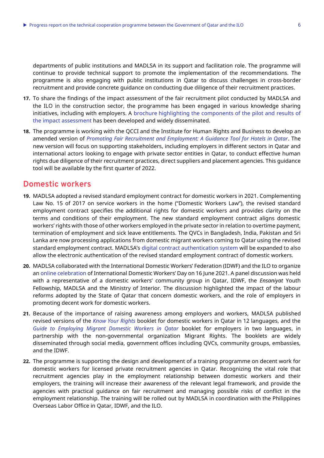departments of public institutions and MADLSA in its support and facilitation role. The programme will continue to provide technical support to promote the implementation of the recommendations. The programme is also engaging with public institutions in Qatar to discuss challenges in cross-border recruitment and provide concrete guidance on conducting due diligence of their recruitment practices.

- **17.** To share the findings of the impact assessment of the fair recruitment pilot conducted by MADLSA and the ILO in the construction sector, the programme has been engaged in various knowledge sharing initiatives, including with employers. A brochure [highlighting the components of the pilot and results of](https://www.ilo.org/beirut/projects/qatar-office/WCMS_820253/lang--en/index.htm)  [the impact assessment](https://www.ilo.org/beirut/projects/qatar-office/WCMS_820253/lang--en/index.htm) has been developed and widely disseminated.
- **18.** The programme is working with the QCCI and the Institute for Human Rights and Business to develop an amended version of *[Promoting Fair Recruitment and Employment: A Guidance Tool for Hotels in Qatar](https://www.ilo.org/beirut/projects/qatar-office/WCMS_755561/lang--en/index.htm)*. The new version will focus on supporting stakeholders, including employers in different sectors in Qatar and international actors looking to engage with private sector entities in Qatar, to conduct effective human rights due diligence of their recruitment practices, direct suppliers and placement agencies. This guidance tool will be available by the first quarter of 2022.

#### <span id="page-5-0"></span>**Domestic workers**

- **19.** MADLSA adopted a revised standard employment contract for domestic workers in 2021. Complementing Law No. 15 of 2017 on service workers in the home ("Domestic Workers Law"), the revised standard employment contract specifies the additional rights for domestic workers and provides clarity on the terms and conditions of their employment. The new standard employment contract aligns domestic workers' rights with those of other workers employed in the private sector in relation to overtime payment, termination of employment and sick leave entitlements. The QVCs in Bangladesh, India, Pakistan and Sri Lanka are now processing applications from domestic migrant workers coming to Qatar using the revised standard employment contract. MADLSA's [digital contract authentication system](https://www.adlsa.gov.qa/en/E-Services/Pages/E-ServiceDetails.aspx?EServiceName=Digital%20authentication%20system%20for%20a%20multi-lingual%20employment%20contract) will be expanded to also allow the electronic authentication of the revised standard employment contract of domestic workers.
- **20.** MADLSA collaborated with the International Domestic Workers' Federation (IDWF) and the ILO to organize a[n online celebration](https://www.ilo.org/beirut/projects/qatar-office/WCMS_799783/lang--en/index.htm) of International Domestic Workers' Day on 16 June 2021. A panel discussion was held with a representative of a domestic workers' community group in Qatar, IDWF, the *Ensaniyat* Youth Fellowship, MADLSA and the Ministry of Interior. The discussion highlighted the impact of the labour reforms adopted by the State of Qatar that concern domestic workers, and the role of employers in promoting decent work for domestic workers.
- **21.** Because of the importance of raising awareness among employers and workers, MADLSA published revised versions of the *[Know Your Rights](https://www.ilo.org/beirut/projects/qatar-office/WCMS_748394/lang--en/index.htm)* booklet for domestic workers in Qatar in 12 languages, and the *[Guide to Employing Migrant Domestic Workers in Qatar](https://www.ilo.org/beirut/projects/qatar-office/WCMS_748391/lang--en/index.htm)* booklet for employers in two languages, in partnership with the non-governmental organization Migrant Rights. The booklets are widely disseminated through social media, government offices including QVCs, community groups, embassies, and the IDWF.
- **22.** The programme is supporting the design and development of a training programme on decent work for domestic workers for licensed private recruitment agencies in Qatar. Recognizing the vital role that recruitment agencies play in the employment relationship between domestic workers and their employers, the training will increase their awareness of the relevant legal framework, and provide the agencies with practical guidance on fair recruitment and managing possible risks of conflict in the employment relationship. The training will be rolled out by MADLSA in coordination with the Philippines Overseas Labor Office in Qatar, IDWF, and the ILO.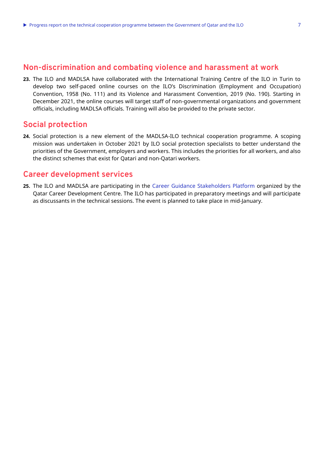<span id="page-6-0"></span>**23.** The ILO and MADLSA have collaborated with the International Training Centre of the ILO in Turin to develop two self-paced online courses on the ILO's Discrimination (Employment and Occupation) Convention, 1958 (No. 111) and its Violence and Harassment Convention, 2019 (No. 190). Starting in December 2021, the online courses will target staff of non-governmental organizations and government officials, including MADLSA officials. Training will also be provided to the private sector.

## <span id="page-6-1"></span>**Social protection**

**24.** Social protection is a new element of the MADLSA-ILO technical cooperation programme. A scoping mission was undertaken in October 2021 by ILO social protection specialists to better understand the priorities of the Government, employers and workers. This includes the priorities for all workers, and also the distinct schemes that exist for Qatari and non-Qatari workers.

#### <span id="page-6-2"></span>**Career development services**

**25.** The ILO and MADLSA are participating in the [Career Guidance Stakeholders Platform](https://qcdc.org.qa/platform/) organized by the Qatar Career Development Centre. The ILO has participated in preparatory meetings and will participate as discussants in the technical sessions. The event is planned to take place in mid-January.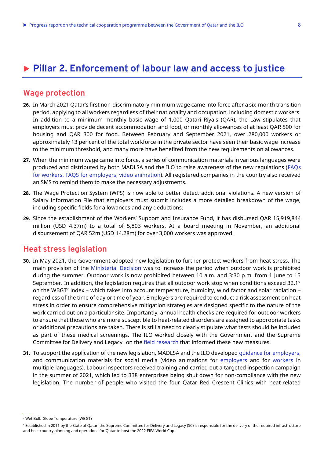# <span id="page-7-0"></span>**Pillar 2. Enforcement of labour law and access to justice**

# <span id="page-7-1"></span>**Wage protection**

- **26.** In March 2021 Qatar's first non-discriminatory minimum wage came into force after a six-month transition period, applying to all workers regardless of their nationality and occupation, including domestic workers. In addition to a minimum monthly basic wage of 1,000 Qatari Riyals (QAR), the Law stipulates that employers must provide decent accommodation and food, or monthly allowances of at least QAR 500 for housing and QAR 300 for food. Between February and September 2021, over 280,000 workers or approximately 13 per cent of the total workforce in the private sector have seen their basic wage increase to the minimum threshold, and many more have benefited from the new requirements on allowances.
- **27.** When the minimum wage came into force, a series of communication materials in various languages were produced and distributed by both MADLSA and the ILO to raise awareness of the new regulations [\(FAQs](https://www.ilo.org/beirut/projects/qatar-office/WCMS_754394/lang--en/index.htm)  [for workers,](https://www.ilo.org/beirut/projects/qatar-office/WCMS_754394/lang--en/index.htm) [FAQS for employers,](https://www.ilo.org/beirut/projects/qatar-office/WCMS_754393/lang--en/index.htm) [video animation\)](https://www.ilo.org/beirut/projects/qatar-office/WCMS_761039/lang--en/index.htm). All registered companies in the country also received an SMS to remind them to make the necessary adjustments.
- **28.** The Wage Protection System (WPS) is now able to better detect additional violations. A new version of Salary Information File that employers must submit includes a more detailed breakdown of the wage, including specific fields for allowances and any deductions.
- **29.** Since the establishment of the Workers' Support and Insurance Fund, it has disbursed QAR 15,919,844 million (USD 4.37m) to a total of 5,803 workers. At a board meeting in November, an additional disbursement of QAR 52m (USD 14.28m) for over 3,000 workers was approved.

#### <span id="page-7-2"></span>**Heat stress legislation**

- **30.** In May 2021, the Government adopted new legislation to further protect workers from heat stress. The main provision of the [Ministerial Decision](https://www.ilo.org/beirut/projects/qatar-office/labinsp-osh/WCMS_794551/lang--en/index.htm) was to increase the period when outdoor work is prohibited during the summer. Outdoor work is now prohibited between 10 a.m. and 3:30 p.m. from 1 June to 15 September. In addition, the legislation requires that all outdoor work stop when conditions exceed 32.1° on the WBGT<sup>7</sup> index – which takes into account temperature, humidity, wind factor and solar radiation – regardless of the time of day or time of year. Employers are required to conduct a risk assessment on heat stress in order to ensure comprehensive mitigation strategies are designed specific to the nature of the work carried out on a particular site. Importantly, annual health checks are required for outdoor workers to ensure that those who are more susceptible to heat-related disorders are assigned to appropriate tasks or additional precautions are taken. There is still a need to clearly stipulate what tests should be included as part of these medical screenings. The ILO worked closely with the Government and the Supreme Committee for Delivery and Legacy<sup>8</sup> on the [field research](https://www.ilo.org/beirut/projects/qatar-office/WCMS_723545/lang--en/index.htm) that informed these new measures.
- **31.** To support the application of the new legislation, MADLSA and the ILO developed [guidance for employers,](https://www.ilo.org/beirut/projects/qatar-office/WCMS_794519/lang--en/index.htm) and communication materials for social media (video animations for [employers](https://www.ilo.org/beirut/projects/qatar-office/WCMS_794526/lang--en/index.htm) and for [workers](https://www.ilo.org/beirut/projects/qatar-office/WCMS_794521/lang--en/index.htm) in multiple languages). Labour inspectors received training and carried out a targeted inspection campaign in the summer of 2021, which led to 338 enterprises being shut down for non-compliance with the new legislation. The number of people who visited the four Qatar Red Crescent Clinics with heat-related

<sup>7</sup> Wet Bulb Globe Temperature (WBGT)

<sup>&</sup>lt;sup>8</sup> Established in 2011 by the State of Qatar, the Supreme Committee for Delivery and Legacy (SC) is responsible for the delivery of the required infrastructure and host country planning and operations for Qatar to host the 2022 FIFA World Cup.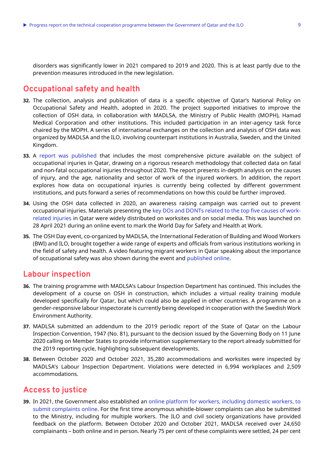disorders was significantly lower in 2021 compared to 2019 and 2020. This is at least partly due to the prevention measures introduced in the new legislation.

## <span id="page-8-0"></span>**Occupational safety and health**

- **32.** The collection, analysis and publication of data is a specific objective of Qatar's National Policy on Occupational Safety and Health, adopted in 2020. The project supported initiatives to improve the collection of OSH data, in collaboration with MADLSA, the Ministry of Public Health (MOPH), Hamad Medical Corporation and other institutions. This included participation in an inter-agency task force chaired by the MOPH. A series of international exchanges on the collection and analysis of OSH data was organized by MADLSA and the ILO, involving counterpart institutions in Australia, Sweden, and the United Kingdom.
- **33.** A [report was published](https://www.ilo.org/beirut/projects/qatar-office/WCMS_828395/lang--en/index.htm) that includes the most comprehensive picture available on the subject of occupational injuries in Qatar, drawing on a rigorous research methodology that collected data on fatal and non-fatal occupational injuries throughout 2020. The report presents in-depth analysis on the causes of injury, and the age, nationality and sector of work of the injured workers. In addition, the report explores how data on occupational injuries is currently being collected by different government institutions, and puts forward a series of recommendations on how this could be further improved.
- **34.** Using the OSH data collected in 2020, an awareness raising campaign was carried out to prevent occupational injuries. Materials presenting the [key DOs and DONTs related to the top five causes of work](https://www.ilo.org/beirut/projects/qatar-office/WCMS_783922/lang--en/index.htm)[related injuries](https://www.ilo.org/beirut/projects/qatar-office/WCMS_783922/lang--en/index.htm) in Qatar were widely distributed on worksites and on social media. This was launched on 28 April 2021 during an online event to mark the World Day for Safety and Health at Work.
- **35.** The OSH Day event, co-organized by MADLSA, the International Federation of Building and Wood Workers (BWI) and ILO, brought together a wide range of experts and officials from various institutions working in the field of safety and health. A video featuring migrant workers in Qatar speaking about the importance of occupational safety was also shown during the event and [published online.](https://www.ilo.org/beirut/projects/qatar-office/WCMS_783797/lang--en/index.htm)

## <span id="page-8-1"></span>**Labour inspection**

- **36.** The training programme with MADLSA's Labour Inspection Department has continued. This includes the development of a course on OSH in construction, which includes a virtual reality training module developed specifically for Qatar, but which could also be applied in other countries. A programme on a gender-responsive labour inspectorate is currently being developed in cooperation with the Swedish Work Environment Authority.
- **37.** MADLSA submitted an addendum to the 2019 periodic report of the State of Qatar on the Labour Inspection Convention, 1947 (No. 81), pursuant to the decision issued by the Governing Body on 11 June 2020 calling on Member States to provide information supplementary to the report already submitted for the 2019 reporting cycle, highlighting subsequent developments.
- **38.** Between October 2020 and October 2021, 35,280 accommodations and worksites were inspected by MADLSA's Labour Inspection Department. Violations were detected in 6,994 workplaces and 2,509 accommodations.

## <span id="page-8-2"></span>**Access to justice**

**39.** In 2021, the Government also established an [online platform for workers, including domestic workers, to](https://acmsidentity.adlsa.gov.qa/EN/Login?ReturnUrl=https://acms.adlsa.gov.qa/en)  [submit complaints online.](https://acmsidentity.adlsa.gov.qa/EN/Login?ReturnUrl=https://acms.adlsa.gov.qa/en) For the first time anonymous whistle-blower complaints can also be submitted to the Ministry, including for multiple workers. The ILO and civil society organizations have provided feedback on the platform. Between October 2020 and October 2021, MADLSA received over 24,650 complainants – both online and in person. Nearly 75 per cent of these complaints were settled, 24 per cent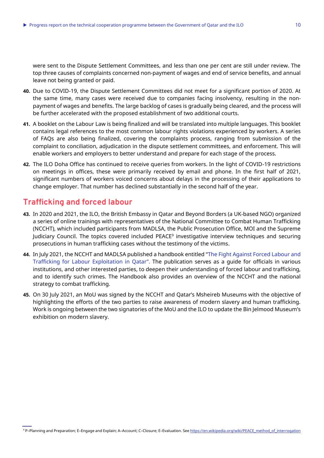were sent to the Dispute Settlement Committees, and less than one per cent are still under review. The top three causes of complaints concerned non-payment of wages and end of service benefits, and annual leave not being granted or paid.

- **40.** Due to COVID-19, the Dispute Settlement Committees did not meet for a significant portion of 2020. At the same time, many cases were received due to companies facing insolvency, resulting in the nonpayment of wages and benefits. The large backlog of cases is gradually being cleared, and the process will be further accelerated with the proposed establishment of two additional courts.
- **41.** A booklet on the Labour Law is being finalized and will be translated into multiple languages. This booklet contains legal references to the most common labour rights violations experienced by workers. A series of FAQs are also being finalized, covering the complaints process, ranging from submission of the complaint to conciliation, adjudication in the dispute settlement committees, and enforcement. This will enable workers and employers to better understand and prepare for each stage of the process.
- **42.** The ILO Doha Office has continued to receive queries from workers. In the light of COVID-19 restrictions on meetings in offices, these were primarily received by email and phone. In the first half of 2021, significant numbers of workers voiced concerns about delays in the processing of their applications to change employer. That number has declined substantially in the second half of the year.

# <span id="page-9-0"></span>**Trafficking and forced labour**

- **43.** In 2020 and 2021, the ILO, the British Embassy in Qatar and Beyond Borders (a UK-based NGO) organized a series of online trainings with representatives of the National Committee to Combat Human Trafficking (NCCHT), which included participants from MADLSA, the Public Prosecution Office, MOI and the Supreme Judiciary Council. The topics covered included PEACE<sup>9</sup> investigative interview techniques and securing prosecutions in human trafficking cases without the testimony of the victims.
- **44.** In July 2021, the NCCHT and MADLSA published a handbook entitled "[The Fight Against Forced Labour and](https://www.ilo.org/beirut/projects/qatar-office/WCMS_815515/lang--en/index.htm)  [Trafficking for Labour Exploitation in Qatar](https://www.ilo.org/beirut/projects/qatar-office/WCMS_815515/lang--en/index.htm)". The publication serves as a guide for officials in various institutions, and other interested parties, to deepen their understanding of forced labour and trafficking, and to identify such crimes. The Handbook also provides an overview of the NCCHT and the national strategy to combat trafficking.
- **45.** On 30 July 2021, an MoU was signed by the NCCHT and Qatar's Msheireb Museums with the objective of highlighting the efforts of the two parties to raise awareness of modern slavery and human trafficking. Work is ongoing between the two signatories of the MoU and the ILO to update the Bin Jelmood Museum's exhibition on modern slavery.

<sup>9</sup> P–Planning and Preparation; E–Engage and Explain; A–Account; C–Closure; E–Evaluation. Se[e https://en.wikipedia.org/wiki/PEACE\\_method\\_of\\_interrogation](https://en.wikipedia.org/wiki/PEACE_method_of_interrogation)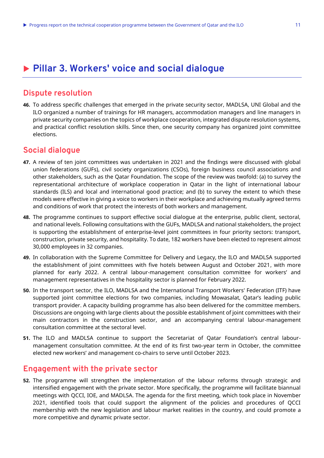# <span id="page-10-0"></span>**Pillar 3. Workers' voice and social dialogue**

## <span id="page-10-1"></span>**Dispute resolution**

**46.** To address specific challenges that emerged in the private security sector, MADLSA, UNI Global and the ILO organized a number of trainings for HR managers, accommodation managers and line managers in private security companies on the topics of workplace cooperation, integrated dispute resolution systems, and practical conflict resolution skills. Since then, one security company has organized joint committee elections.

#### <span id="page-10-2"></span>**Social dialogue**

- **47.** A review of ten joint committees was undertaken in 2021 and the findings were discussed with global union federations (GUFs), civil society organizations (CSOs), foreign business council associations and other stakeholders, such as the Qatar Foundation. The scope of the review was twofold: (a) to survey the representational architecture of workplace cooperation in Qatar in the light of international labour standards (ILS) and local and international good practice; and (b) to survey the extent to which these models were effective in giving a voice to workers in their workplace and achieving mutually agreed terms and conditions of work that protect the interests of both workers and management.
- **48.** The programme continues to support effective social dialogue at the enterprise, public client, sectoral, and national levels. Following consultations with the GUFs, MADLSA and national stakeholders, the project is supporting the establishment of enterprise-level joint committees in four priority sectors: transport, construction, private security, and hospitality. To date, 182 workers have been elected to represent almost 30,000 employees in 32 companies.
- **49.** In collaboration with the Supreme Committee for Delivery and Legacy, the ILO and MADLSA supported the establishment of joint committees with five hotels between August and October 2021, with more planned for early 2022. A central labour-management consultation committee for workers' and management representatives in the hospitality sector is planned for February 2022.
- **50.** In the transport sector, the ILO, MADLSA and the International Transport Workers' Federation (ITF) have supported joint committee elections for two companies, including Mowasalat, Qatar's leading public transport provider. A capacity building programme has also been delivered for the committee members. Discussions are ongoing with large clients about the possible establishment of joint committees with their main contractors in the construction sector, and an accompanying central labour-management consultation committee at the sectoral level.
- **51.** The ILO and MADLSA continue to support the Secretariat of Qatar Foundation's central labourmanagement consultation committee. At the end of its first two-year term in October, the committee elected new workers' and management co-chairs to serve until October 2023.

#### <span id="page-10-3"></span>**Engagement with the private sector**

**52.** The programme will strengthen the implementation of the labour reforms through strategic and intensified engagement with the private sector. More specifically, the programme will facilitate biannual meetings with QCCI, IOE, and MADLSA. The agenda for the first meeting, which took place in November 2021, identified tools that could support the alignment of the policies and procedures of QCCI membership with the new legislation and labour market realities in the country, and could promote a more competitive and dynamic private sector.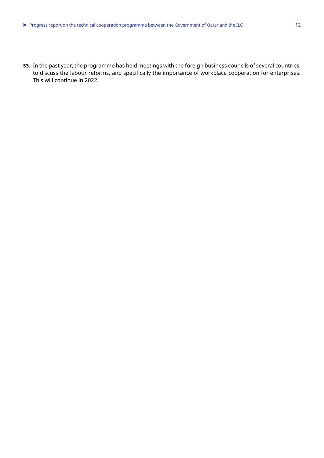**53.** In the past year, the programme has held meetings with the foreign business councils of several countries, to discuss the labour reforms, and specifically the importance of workplace cooperation for enterprises. This will continue in 2022.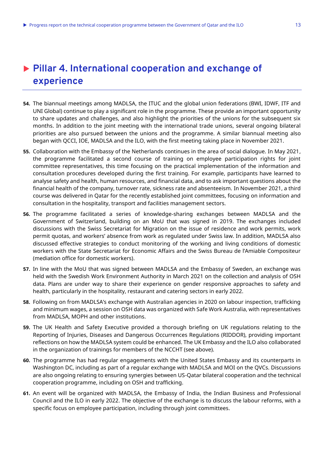# <span id="page-12-0"></span> **Pillar 4. International cooperation and exchange of experience**

- **54.** The biannual meetings among MADLSA, the ITUC and the global union federations (BWI, IDWF, ITF and UNI Global) continue to play a significant role in the programme. These provide an important opportunity to share updates and challenges, and also highlight the priorities of the unions for the subsequent six months. In addition to the joint meeting with the international trade unions, several ongoing bilateral priorities are also pursued between the unions and the programme. A similar biannual meeting also began with QCCI, IOE, MADLSA and the ILO, with the first meeting taking place in November 2021.
- **55.** Collaboration with the Embassy of the Netherlands continues in the area of social dialogue. In May 2021, the programme facilitated a second course of training on employee participation rights for joint committee representatives, this time focusing on the practical implementation of the information and consultation procedures developed during the first training. For example, participants have learned to analyse safety and health, human resources, and financial data, and to ask important questions about the financial health of the company, turnover rate, sickness rate and absenteeism. In November 2021, a third course was delivered in Qatar for the recently established joint committees, focusing on information and consultation in the hospitality, transport and facilities management sectors.
- **56.** The programme facilitated a series of knowledge-sharing exchanges between MADLSA and the Government of Switzerland, building on an MoU that was signed in 2019. The exchanges included discussions with the Swiss Secretariat for Migration on the issue of residence and work permits, work permit quotas, and workers' absence from work as regulated under Swiss law. In addition, MADLSA also discussed effective strategies to conduct monitoring of the working and living conditions of domestic workers with the State Secretariat for Economic Affairs and the Swiss Bureau de l'Amiable Compositeur (mediation office for domestic workers).
- **57.** In line with the MoU that was signed between MADLSA and the Embassy of Sweden, an exchange was held with the Swedish Work Environment Authority in March 2021 on the collection and analysis of OSH data. Plans are under way to share their experience on gender responsive approaches to safety and health, particularly in the hospitality, restaurant and catering sectors in early 2022.
- **58.** Following on from MADLSA's exchange with Australian agencies in 2020 on labour inspection, trafficking and minimum wages, a session on OSH data was organized with Safe Work Australia, with representatives from MADLSA, MOPH and other institutions.
- **59.** The UK Health and Safety Executive provided a thorough briefing on UK regulations relating to the Reporting of Injuries, Diseases and Dangerous Occurrences Regulations (RIDDOR), providing important reflections on how the MADLSA system could be enhanced. The UK Embassy and the ILO also collaborated in the organization of trainings for members of the NCCHT (see above).
- **60.** The programme has had regular engagements with the United States Embassy and its counterparts in Washington DC, including as part of a regular exchange with MADLSA and MOI on the QVCs. Discussions are also ongoing relating to ensuring synergies between US-Qatar bilateral cooperation and the technical cooperation programme, including on OSH and trafficking.
- **61.** An event will be organized with MADLSA, the Embassy of India, the Indian Business and Professional Council and the ILO in early 2022. The objective of the exchange is to discuss the labour reforms, with a specific focus on employee participation, including through joint committees.